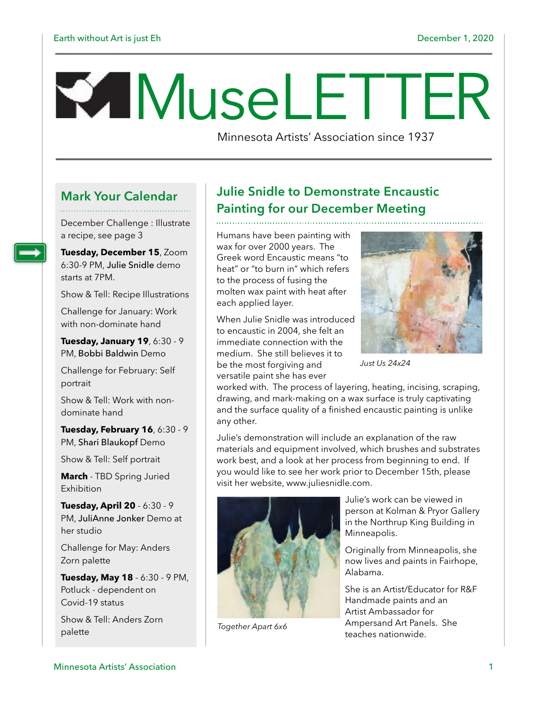# M useLETTER

Minnesota Artists' Association since 1937

## **Mark Your Calendar**

December Challenge : Illustrate a recipe, see page 3

**Tuesday, December 15**, Zoom 6:30-9 PM, Julie Snidle demo starts at 7PM.

Show & Tell: Recipe Illustrations

Challenge for January: Work with non-dominate hand

**Tuesday, January 19**, 6:30 - 9 PM, Bobbi Baldwin Demo

Challenge for February: Self portrait

Show & Tell: Work with nondominate hand

**Tuesday, February 16**, 6:30 - 9 PM, Shari Blaukopf Demo

Show & Tell: Self portrait

**March** - TBD Spring Juried Exhibition

**Tuesday, April 20** - 6:30 - 9 PM, JuliAnne Jonker Demo at her studio

Challenge for May: Anders Zorn palette

**Tuesday, May 18** - 6:30 - 9 PM, Potluck - dependent on Covid-19 status

Show & Tell: Anders Zorn palette

# **Julie Snidle to Demonstrate Encaustic Painting for our December Meeting**

Humans have been painting with wax for over 2000 years. The Greek word Encaustic means "to heat" or "to burn in" which refers to the process of fusing the molten wax paint with heat after each applied layer.

When Julie Snidle was introduced to encaustic in 2004, she felt an immediate connection with the medium. She still believes it to be the most forgiving and versatile paint she has ever



*Just Us 24x24*

worked with. The process of layering, heating, incising, scraping, drawing, and mark-making on a wax surface is truly captivating and the surface quality of a finished encaustic painting is unlike any other.

Julie's demonstration will include an explanation of the raw materials and equipment involved, which brushes and substrates work best, and a look at her process from beginning to end. If you would like to see her work prior to December 15th, please visit her website, [www.juliesnidle.com.](http://www.juliesnidle.com/)



*Together Apart 6x6*

Julie's work can be viewed in person at Kolman & Pryor Gallery in the Northrup King Building in Minneapolis.

Originally from Minneapolis, she now lives and paints in Fairhope, Alabama.

She is an Artist/Educator for R&F Handmade paints and an Artist Ambassador for Ampersand Art Panels. She teaches nationwide.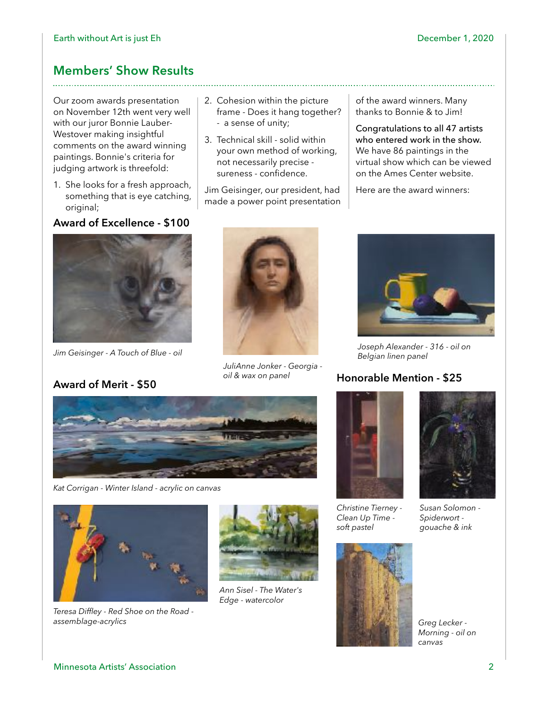## **Members' Show Results**

Our zoom awards presentation on November 12th went very well with our juror Bonnie Lauber-Westover making insightful comments on the award winning paintings. Bonnie's criteria for judging artwork is threefold:

1. She looks for a fresh approach, something that is eye catching, original;

#### **Award of Excellence - \$100**



*Jim Geisinger - A Touch of Blue - oil*

- 2. Cohesion within the picture frame - Does it hang together? - a sense of unity;
- 3. Technical skill solid within your own method of working, not necessarily precise sureness - confidence.

Jim Geisinger, our president, had made a power point presentation of the award winners. Many thanks to Bonnie & to Jim!

Congratulations to all 47 artists who entered work in the show. We have 86 paintings in the virtual show which can be viewed on the Ames Center website.

Here are the award winners:



*JuliAnne Jonker - Georgia oil & wax on panel*



*Joseph Alexander - 316 - oil on Belgian linen panel*

# **Award of Merit - \$50 Honorable Mention - \$25**



*Kat Corrigan - Winter Island - acrylic on canvas*



*Teresa Diffley - Red Shoe on the Road assemblage-acrylics*



*Ann Sisel - The Water's Edge - watercolor*



*Christine Tierney - Clean Up Time soft pastel*



*Susan Solomon - Spiderwort gouache & ink*

*Greg Lecker - Morning - oil on canvas*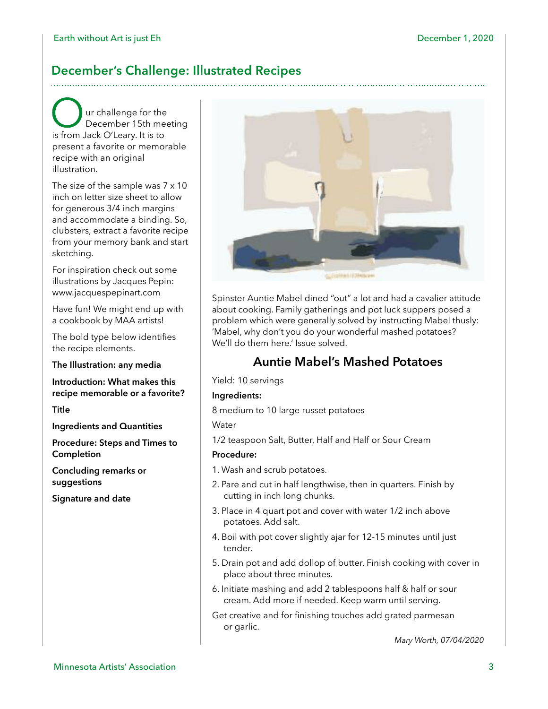# **December's Challenge: Illustrated Recipes**

Our challenge for the<br>is from Jack O'Leary. It is to December 15th meeting present a favorite or memorable recipe with an original illustration.

The size of the sample was 7 x 10 inch on letter size sheet to allow for generous 3/4 inch margins and accommodate a binding. So, clubsters, extract a favorite recipe from your memory bank and start sketching.

For inspiration check out some illustrations by Jacques Pepin: [www.jacquespepinart.com](http://www.jacquespepinart.com/)

Have fun! We might end up with a cookbook by MAA artists!

The bold type below identifies the recipe elements.

**The Illustration: any media** 

**Introduction: What makes this recipe memorable or a favorite?**

**Title** 

**Ingredients and Quantities**

**Procedure: Steps and Times to Completion** 

**Concluding remarks or suggestions** 

**Signature and date** 



Spinster Auntie Mabel dined "out" a lot and had a cavalier attitude about cooking. Family gatherings and pot luck suppers posed a problem which were generally solved by instructing Mabel thusly: 'Mabel, why don't you do your wonderful mashed potatoes? We'll do them here.' Issue solved.

## **Auntie Mabel's Mashed Potatoes**

Yield: 10 servings

#### **Ingredients:**

8 medium to 10 large russet potatoes

Water

1/2 teaspoon Salt, Butter, Half and Half or Sour Cream

#### **Procedure:**

1. Wash and scrub potatoes.

- 2. Pare and cut in half lengthwise, then in quarters. Finish by cutting in inch long chunks.
- 3. Place in 4 quart pot and cover with water 1/2 inch above potatoes. Add salt.
- 4. Boil with pot cover slightly ajar for 12-15 minutes until just tender.
- 5. Drain pot and add dollop of butter. Finish cooking with cover in place about three minutes.
- 6. Initiate mashing and add 2 tablespoons half & half or sour cream. Add more if needed. Keep warm until serving.
- Get creative and for finishing touches add grated parmesan or garlic.

*Mary Worth, 07/04/2020*